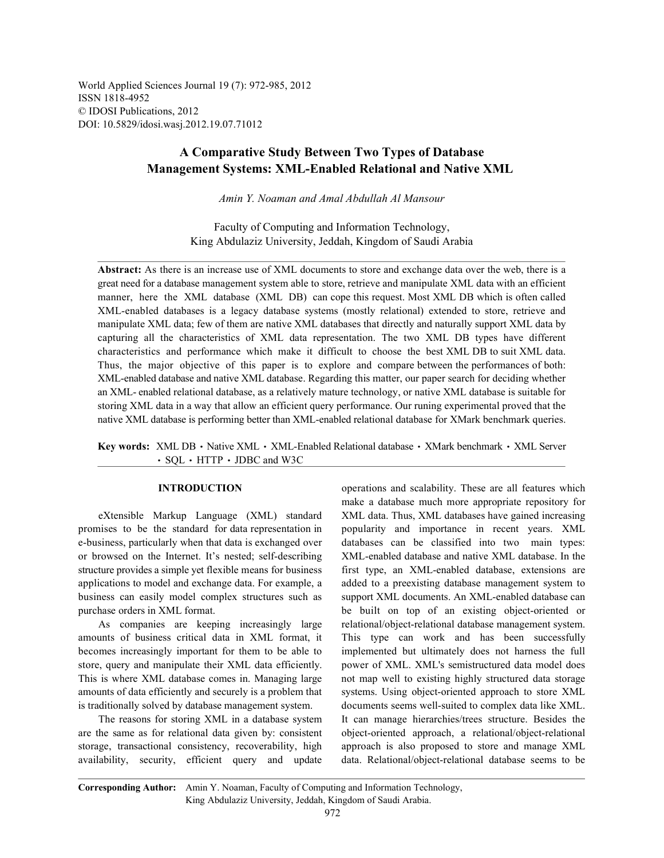World Applied Sciences Journal 19 (7): 972-985, 2012 ISSN 1818-4952 © IDOSI Publications, 2012 DOI: 10.5829/idosi.wasj.2012.19.07.71012

## **A Comparative Study Between Two Types of Database Management Systems: XML-Enabled Relational and Native XML**

*Amin Y. Noaman and Amal Abdullah Al Mansour*

Faculty of Computing and Information Technology, King Abdulaziz University, Jeddah, Kingdom of Saudi Arabia

**Abstract:** As there is an increase use of XML documents to store and exchange data over the web, there is a great need for a database management system able to store, retrieve and manipulate XML data with an efficient manner, here the XML database (XML DB) can cope this request. Most XML DB which is often called XML-enabled databases is a legacy database systems (mostly relational) extended to store, retrieve and manipulate XML data; few of them are native XML databases that directly and naturally support XML data by capturing all the characteristics of XML data representation. The two XML DB types have different characteristics and performance which make it difficult to choose the best XML DB to suit XML data. Thus, the major objective of this paper is to explore and compare between the performances of both: XML-enabled database and native XML database. Regarding this matter, our paper search for deciding whether an XML- enabled relational database, as a relatively mature technology, or native XML database is suitable for storing XML data in a way that allow an efficient query performance. Our runing experimental proved that the native XML database is performing better than XML-enabled relational database for XMark benchmark queries.

Key words: XML DB · Native XML · XML-Enabled Relational database · XMark benchmark · XML Server SQL HTTP JDBC and W3C

promises to be the standard for data representation in popularity and importance in recent years. XML e-business, particularly when that data is exchanged over databases can be classified into two main types: or browsed on the Internet. It's nested; self-describing XML-enabled database and native XML database. In the structure provides a simple yet flexible means for business first type, an XML-enabled database, extensions are applications to model and exchange data. For example, a added to a preexisting database management system to business can easily model complex structures such as support XML documents. An XML-enabled database can purchase orders in XML format. be built on top of an existing object-oriented or

amounts of business critical data in XML format, it This type can work and has been successfully becomes increasingly important for them to be able to implemented but ultimately does not harness the full store, query and manipulate their XML data efficiently. power of XML. XML's semistructured data model does This is where XML database comes in. Managing large not map well to existing highly structured data storage amounts of data efficiently and securely is a problem that systems. Using object-oriented approach to store XML

are the same as for relational data given by: consistent object-oriented approach, a relational/object-relational storage, transactional consistency, recoverability, high approach is also proposed to store and manage XML availability, security, efficient query and update data. Relational/object-relational database seems to be

**INTRODUCTION** operations and scalability. These are all features which eXtensible Markup Language (XML) standard XML data. Thus, XML databases have gained increasing As companies are keeping increasingly large relational/object-relational database management system. is traditionally solved by database management system. documents seems well-suited to complex data like XML. The reasons for storing XML in a database system It can manage hierarchies/trees structure. Besides the make a database much more appropriate repository for

**Corresponding Author:** Amin Y. Noaman, Faculty of Computing and Information Technology, King Abdulaziz University, Jeddah, Kingdom of Saudi Arabia.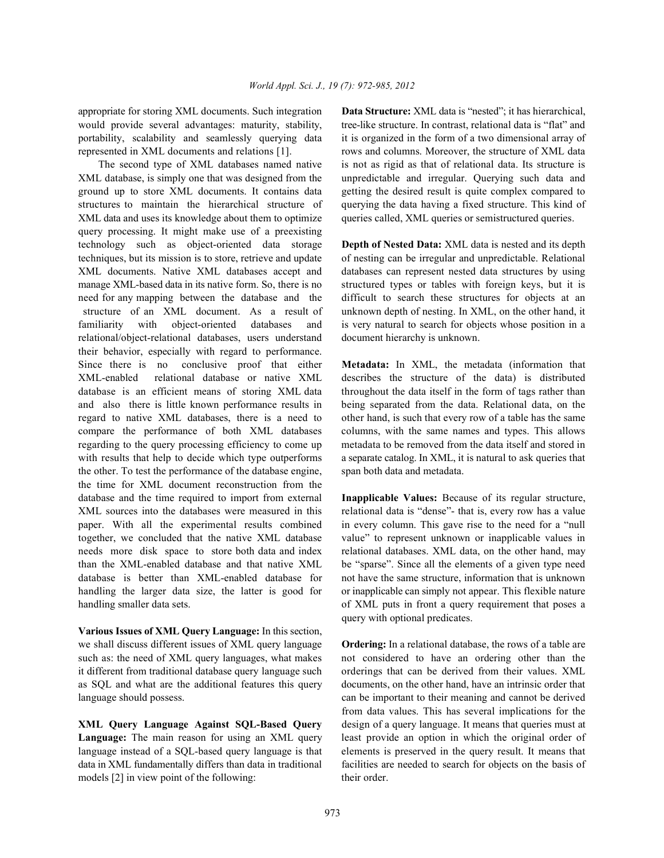would provide several advantages: maturity, stability, tree-like structure. In contrast, relational data is "flat" and portability, scalability and seamlessly querying data it is organized in the form of a two dimensional array of represented in XML documents and relations [1]. rows and columns. Moreover, the structure of XML data

XML database, is simply one that was designed from the unpredictable and irregular. Querying such data and ground up to store XML documents. It contains data getting the desired result is quite complex compared to structures to maintain the hierarchical structure of querying the data having a fixed structure. This kind of XML data and uses its knowledge about them to optimize queries called, XML queries or semistructured queries. query processing. It might make use of a preexisting technology such as object-oriented data storage **Depth of Nested Data:** XML data is nested and its depth techniques, but its mission is to store, retrieve and update of nesting can be irregular and unpredictable. Relational XML documents. Native XML databases accept and databases can represent nested data structures by using manage XML-based data in its native form. So, there is no structured types or tables with foreign keys, but it is need for any mapping between the database and the difficult to search these structures for objects at an structure of an XML document. As a result of unknown depth of nesting. In XML, on the other hand, it familiarity with object-oriented databases and is very natural to search for objects whose position in a relational/object-relational databases, users understand document hierarchy is unknown. their behavior, especially with regard to performance. Since there is no conclusive proof that either **Metadata:** In XML, the metadata (information that XML-enabled relational database or native XML describes the structure of the data) is distributed database is an efficient means of storing XML data throughout the data itself in the form of tags rather than and also there is little known performance results in being separated from the data. Relational data, on the regard to native XML databases, there is a need to other hand, is such that every row of a table has the same compare the performance of both XML databases columns, with the same names and types. This allows regarding to the query processing efficiency to come up metadata to be removed from the data itself and stored in with results that help to decide which type outperforms a separate catalog. In XML, it is natural to ask queries that the other. To test the performance of the database engine, span both data and metadata. the time for XML document reconstruction from the database and the time required to import from external **Inapplicable Values:** Because of its regular structure, XML sources into the databases were measured in this relational data is "dense"- that is, every row has a value paper. With all the experimental results combined in every column. This gave rise to the need for a "null together, we concluded that the native XML database value" to represent unknown or inapplicable values in needs more disk space to store both data and index relational databases. XML data, on the other hand, may than the XML-enabled database and that native XML be "sparse". Since all the elements of a given type need database is better than XML-enabled database for not have the same structure, information that is unknown handling the larger data size, the latter is good for or inapplicable can simply not appear. This flexible nature handling smaller data sets.  $\qquad \qquad$  of XML puts in front a query requirement that poses a

**Various Issues of XML Query Language:** In this section, we shall discuss different issues of XML query language **Ordering:** In a relational database, the rows of a table are such as: the need of XML query languages, what makes not considered to have an ordering other than the it different from traditional database query language such orderings that can be derived from their values. XML as SQL and what are the additional features this query documents, on the other hand, have an intrinsic order that language should possess. can be important to their meaning and cannot be derived

Language: The main reason for using an XML query least provide an option in which the original order of language instead of a SQL-based query language is that elements is preserved in the query result. It means that data in XML fundamentally differs than data in traditional facilities are needed to search for objects on the basis of models [2] in view point of the following: their order.

appropriate for storing XML documents. Such integration **Data Structure:** XML data is "nested"; it has hierarchical, The second type of XML databases named native is not as rigid as that of relational data. Its structure is

query with optional predicates.

**XML Query Language Against SQL-Based Query** design of a query language. It means that queries must at from data values. This has several implications for the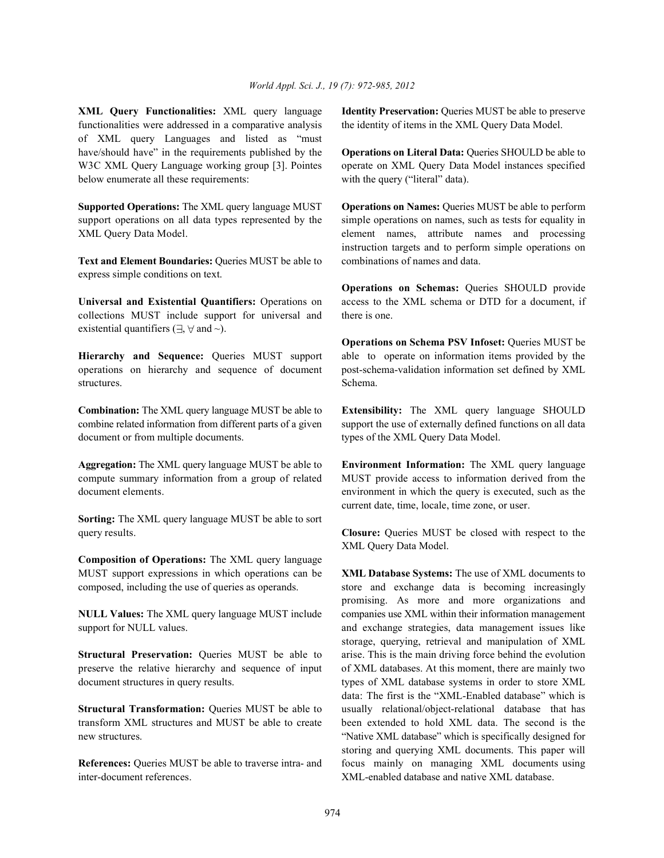**XML Query Functionalities:** XML query language **Identity Preservation:** Queries MUST be able to preserve functionalities were addressed in a comparative analysis the identity of items in the XML Query Data Model. of XML query Languages and listed as "must have/should have" in the requirements published by the **Operations on Literal Data:** Queries SHOULD be able to W3C XML Query Language working group [3]. Pointes operate on XML Query Data Model instances specified below enumerate all these requirements: with the query ("literal" data).

support operations on all data types represented by the simple operations on names, such as tests for equality in XML Query Data Model. element names, attribute names and processing

**Text and Element Boundaries:** Queries MUST be able to combinations of names and data. express simple conditions on text.

collections MUST include support for universal and there is one. existential quantifiers ( $\exists$ ,  $\forall$  and  $\sim$ ).

operations on hierarchy and sequence of document post-schema-validation information set defined by XML structures. Schema.

combine related information from different parts of a given support the use of externally defined functions on all data document or from multiple documents. types of the XML Query Data Model.

**Aggregation:** The XML query language MUST be able to **Environment Information:** The XML query language compute summary information from a group of related MUST provide access to information derived from the document elements. environment in which the query is executed, such as the

**Sorting:** The XML query language MUST be able to sort

**Composition of Operations:** The XML query language MUST support expressions in which operations can be **XML Database Systems:** The use of XML documents to composed, including the use of queries as operands. store and exchange data is becoming increasingly

support for NULL values. The support for NULL values. And exchange strategies, data management issues like

preserve the relative hierarchy and sequence of input of XML databases. At this moment, there are mainly two document structures in query results. types of XML database systems in order to store XML

transform XML structures and MUST be able to create been extended to hold XML data. The second is the new structures. "Native XML database" which is specifically designed for

inter-document references. XML-enabled database and native XML database.

**Supported Operations:** The XML query language MUST **Operations on Names:** Queries MUST be able to perform instruction targets and to perform simple operations on

**Universal and Existential Quantifiers:** Operations on access to the XML schema or DTD for a document, if **Operations on Schemas:** Queries SHOULD provide

**Hierarchy and Sequence:** Queries MUST support able to operate on information items provided by the **Operations on Schema PSV Infoset:** Queries MUST be

**Combination:** The XML query language MUST be able to **Extensibility:** The XML query language SHOULD

current date, time, locale, time zone, or user.

query results. **Closure:** Queries MUST be closed with respect to the XML Query Data Model.

**NULL Values:** The XML query language MUST include companies use XML within their information management **Structural Preservation:** Queries MUST be able to arise. This is the main driving force behind the evolution **Structural Transformation:** Queries MUST be able to usually relational/object-relational database that has **References:** Queries MUST be able to traverse intra- and focus mainly on managing XML documents using promising. As more and more organizations and storage, querying, retrieval and manipulation of XML data: The first is the "XML-Enabled database" which is storing and querying XML documents. This paper will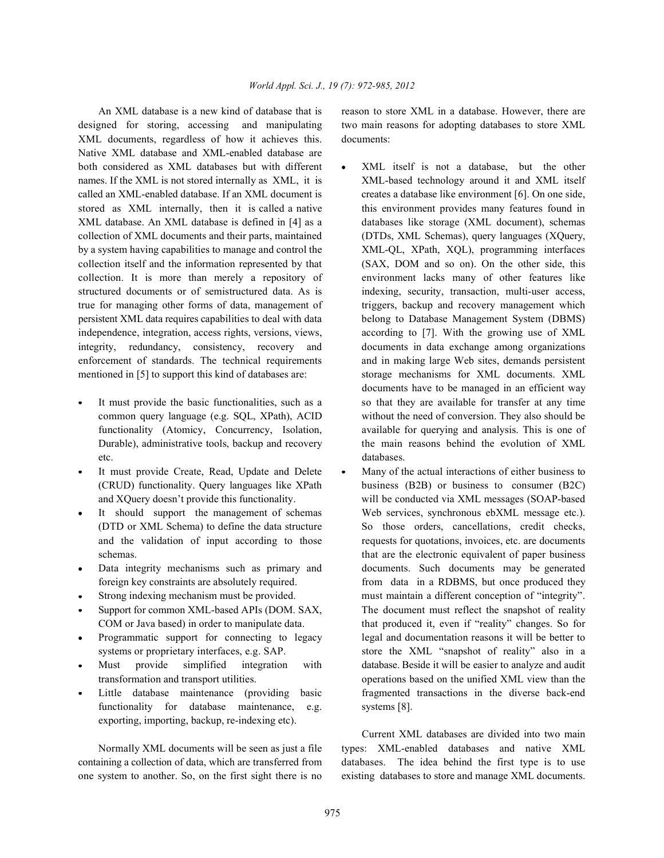designed for storing, accessing and manipulating two main reasons for adopting databases to store XML XML documents, regardless of how it achieves this. documents: Native XML database and XML-enabled database are both considered as XML databases but with different • XML itself is not a database, but the other names. If the XML is not stored internally as XML, it is XML-based technology around it and XML itself called an XML-enabled database. If an XML document is creates a database like environment [6]. On one side, stored as XML internally, then it is called a native this environment provides many features found in XML database. An XML database is defined in [4] as a databases like storage (XML document), schemas collection of XML documents and their parts, maintained (DTDs, XML Schemas), query languages (XQuery, by a system having capabilities to manage and control the XML-QL, XPath, XQL), programming interfaces collection itself and the information represented by that (SAX, DOM and so on). On the other side, this collection. It is more than merely a repository of environment lacks many of other features like structured documents or of semistructured data. As is indexing, security, transaction, multi-user access, true for managing other forms of data, management of triggers, backup and recovery management which persistent XML data requires capabilities to deal with data belong to Database Management System (DBMS) independence, integration, access rights, versions, views, according to [7]. With the growing use of XML integrity, redundancy, consistency, recovery and documents in data exchange among organizations enforcement of standards. The technical requirements and in making large Web sites, demands persistent mentioned in [5] to support this kind of databases are: storage mechanisms for XML documents. XML

- etc. databases.
- It must provide Create, Read, Update and Delete Many of the actual interactions of either business to
- 
- 
- 
- 
- 
- 
- functionality for database maintenance, e.g. systems [8]. exporting, importing, backup, re-indexing etc).

containing a collection of data, which are transferred from databases. The idea behind the first type is to use one system to another. So, on the first sight there is no existing databases to store and manage XML documents.

An XML database is a new kind of database that is reason to store XML in a database. However, there are

- It must provide the basic functionalities, such as a so that they are available for transfer at any time common query language (e.g. SQL, XPath), ACID without the need of conversion. They also should be functionality (Atomicy, Concurrency, Isolation, available for querying and analysis. This is one of Durable), administrative tools, backup and recovery the main reasons behind the evolution of XML documents have to be managed in an efficient way
- (CRUD) functionality. Query languages like XPath business (B2B) or business to consumer (B2C) and XQuery doesn't provide this functionality. will be conducted via XML messages (SOAP-based It should support the management of schemas Web services, synchronous ebXML message etc.). (DTD or XML Schema) to define the data structure So those orders, cancellations, credit checks, and the validation of input according to those requests for quotations, invoices, etc. are documents schemas. that are the electronic equivalent of paper business schemas. Data integrity mechanisms such as primary and documents. Such documents may be generated foreign key constraints are absolutely required. from data in a RDBMS, but once produced they Strong indexing mechanism must be provided. must maintain a different conception of "integrity". Support for common XML-based APIs (DOM. SAX, The document must reflect the snapshot of reality COM or Java based) in order to manipulate data. that produced it, even if "reality" changes. So for Programmatic support for connecting to legacy legal and documentation reasons it will be better to systems or proprietary interfaces, e.g. SAP. store the XML "snapshot of reality" also in a Must provide simplified integration with database. Beside it will be easier to analyze and audit transformation and transport utilities. operations based on the unified XML view than the Little database maintenance (providing basic fragmented transactions in the diverse back-end

Normally XML documents will be seen as just a file types: XML-enabled databases and native XML Current XML databases are divided into two main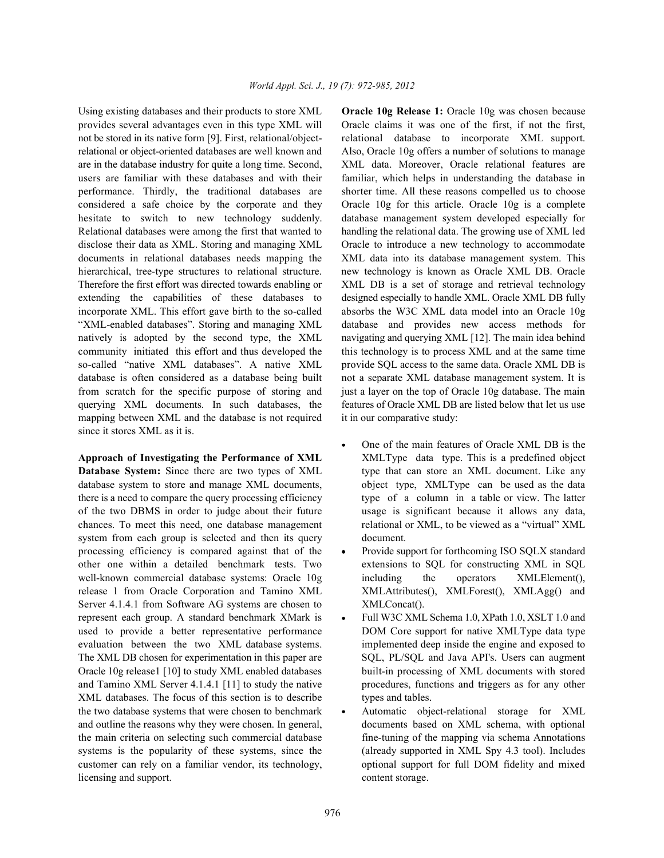provides several advantages even in this type XML will Oracle claims it was one of the first, if not the first, not be stored in its native form [9]. First, relational/object- relational database to incorporate XML support. relational or object-oriented databases are well known and Also, Oracle 10g offers a number of solutions to manage are in the database industry for quite a long time. Second, XML data. Moreover, Oracle relational features are users are familiar with these databases and with their familiar, which helps in understanding the database in performance. Thirdly, the traditional databases are shorter time. All these reasons compelled us to choose considered a safe choice by the corporate and they Oracle 10g for this article. Oracle 10g is a complete hesitate to switch to new technology suddenly. database management system developed especially for Relational databases were among the first that wanted to handling the relational data. The growing use of XML led disclose their data as XML. Storing and managing XML Oracle to introduce a new technology to accommodate documents in relational databases needs mapping the XML data into its database management system. This hierarchical, tree-type structures to relational structure. new technology is known as Oracle XML DB. Oracle Therefore the first effort was directed towards enabling or XML DB is a set of storage and retrieval technology extending the capabilities of these databases to designed especially to handle XML. Oracle XML DB fully incorporate XML. This effort gave birth to the so-called absorbs the W3C XML data model into an Oracle 10g "XML-enabled databases". Storing and managing XML database and provides new access methods for natively is adopted by the second type, the XML navigating and querying XML [12]. The main idea behind community initiated this effort and thus developed the this technology is to process XML and at the same time so-called "native XML databases". A native XML provide SQL access to the same data. Oracle XML DB is database is often considered as a database being built not a separate XML database management system. It is from scratch for the specific purpose of storing and just a layer on the top of Oracle 10g database. The main querying XML documents. In such databases, the features of Oracle XML DB are listed below that let us use mapping between XML and the database is not required it in our comparative study: since it stores XML as it is.

**Approach of Investigating the Performance of XML** XMLType data type. This is a predefined object **Database System:** Since there are two types of XML type that can store an XML document. Like any database system to store and manage XML documents, object type, XMLType can be used as the data there is a need to compare the query processing efficiency type of a column in a table or view. The latter of the two DBMS in order to judge about their future usage is significant because it allows any data, chances. To meet this need, one database management relational or XML, to be viewed as a "virtual" XML system from each group is selected and then its query document. processing efficiency is compared against that of the • Provide support for forthcoming ISO SQLX standard other one within a detailed benchmark tests. Two extensions to SQL for constructing XML in SQL well-known commercial database systems: Oracle 10g including the operators XMLElement(), release 1 from Oracle Corporation and Tamino XML XMLAttributes(), XMLForest(), XMLAgg() and Server 4.1.4.1 from Software AG systems are chosen to XMLConcat(). represent each group. A standard benchmark XMark is • Full W3C XML Schema 1.0, XPath 1.0, XSLT 1.0 and used to provide a better representative performance DOM Core support for native XMLType data type evaluation between the two XML database systems. implemented deep inside the engine and exposed to The XML DB chosen for experimentation in this paper are SQL, PL/SQL and Java API's. Users can augment Oracle 10g release1 [10] to study XML enabled databases built-in processing of XML documents with stored and Tamino XML Server 4.1.4.1 [11] to study the native procedures, functions and triggers as for any other XML databases. The focus of this section is to describe types and tables. the two database systems that were chosen to benchmark  $\bullet$  Automatic object-relational storage for XML and outline the reasons why they were chosen. In general, documents based on XML schema, with optional the main criteria on selecting such commercial database fine-tuning of the mapping via schema Annotations systems is the popularity of these systems, since the (already supported in XML Spy 4.3 tool). Includes customer can rely on a familiar vendor, its technology, optional support for full DOM fidelity and mixed licensing and support. The content storage.

Using existing databases and their products to store XML **Oracle 10g Release 1:** Oracle 10g was chosen because

- One of the main features of Oracle XML DB is the
- 
- 
-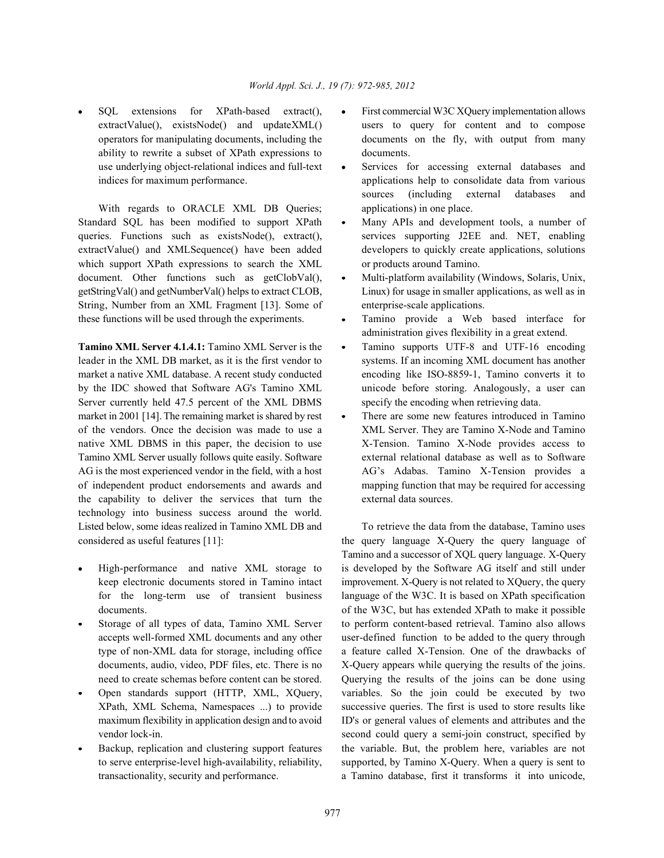ability to rewrite a subset of XPath expressions to documents. use underlying object-relational indices and full-text • Services for accessing external databases and

With regards to ORACLE XML DB Queries; applications) in one place. Standard SQL has been modified to support XPath • Many APIs and development tools, a number of queries. Functions such as existsNode(), extract(), services supporting J2EE and. NET, enabling extractValue() and XMLSequence() have been added developers to quickly create applications, solutions which support XPath expressions to search the XML or products around Tamino. document. Other functions such as  $getClobVal()$ , • Multi-platform availability (Windows, Solaris, Unix, getStringVal() and getNumberVal() helps to extract CLOB, Linux) for usage in smaller applications, as well as in String, Number from an XML Fragment [13]. Some of enterprise-scale applications. these functions will be used through the experiments. Tamino provide a Web based interface for

leader in the XML DB market, as it is the first vendor to systems. If an incoming XML document has another market a native XML database. A recent study conducted encoding like ISO-8859-1, Tamino converts it to by the IDC showed that Software AG's Tamino XML unicode before storing. Analogously, a user can Server currently held 47.5 percent of the XML DBMS specify the encoding when retrieving data. market in 2001 [14]. The remaining market is shared by rest • There are some new features introduced in Tamino of the vendors. Once the decision was made to use a XML Server. They are Tamino X-Node and Tamino native XML DBMS in this paper, the decision to use X-Tension. Tamino X-Node provides access to Tamino XML Server usually follows quite easily. Software external relational database as well as to Software AG is the most experienced vendor in the field, with a host AG's Adabas. Tamino X-Tension provides a of independent product endorsements and awards and mapping function that may be required for accessing the capability to deliver the services that turn the external data sources. technology into business success around the world. Listed below, some ideas realized in Tamino XML DB and To retrieve the data from the database. Tamino uses considered as useful features [11]: the query language X-Query the query language of

- 
- 
- 
- 
- SOL extensions for XPath-based extract(), First commercial W3C XOuery implementation allows extractValue(), existsNode() and updateXML() users to query for content and to compose operators for manipulating documents, including the documents on the fly, with output from many
- indices for maximum performance. applications help to consolidate data from various sources (including external databases and
	-
	-
	- administration gives flexibility in a great extend.
- **Tamino XML Server 4.1.4.1:** Tamino XML Server is the  $\bullet$  Tamino supports UTF-8 and UTF-16 encoding
	-

High-performance and native XML storage to is developed by the Software AG itself and still under keep electronic documents stored in Tamino intact improvement. X-Query is not related to XQuery, the query for the long-term use of transient business language of the W3C. It is based on XPath specification documents.  $\qquad \qquad$  of the W3C, but has extended XPath to make it possible Storage of all types of data, Tamino XML Server to perform content-based retrieval. Tamino also allows accepts well-formed XML documents and any other user-defined function to be added to the query through type of non-XML data for storage, including office a feature called X-Tension. One of the drawbacks of documents, audio, video, PDF files, etc. There is no X-Query appears while querying the results of the joins. need to create schemas before content can be stored. Querying the results of the joins can be done using Open standards support (HTTP, XML, XQuery, variables. So the join could be executed by two XPath, XML Schema, Namespaces ...) to provide successive queries. The first is used to store results like maximum flexibility in application design and to avoid ID's or general values of elements and attributes and the vendor lock-in. Second could query a semi-join construct, specified by vendor lock-in. Backup, replication and clustering support features the variable. But, the problem here, variables are not to serve enterprise-level high-availability, reliability, supported, by Tamino X-Query. When a query is sent to transactionality, security and performance. a Tamino database, first it transforms it into unicode, Tamino and a successor of XQL query language. X-Query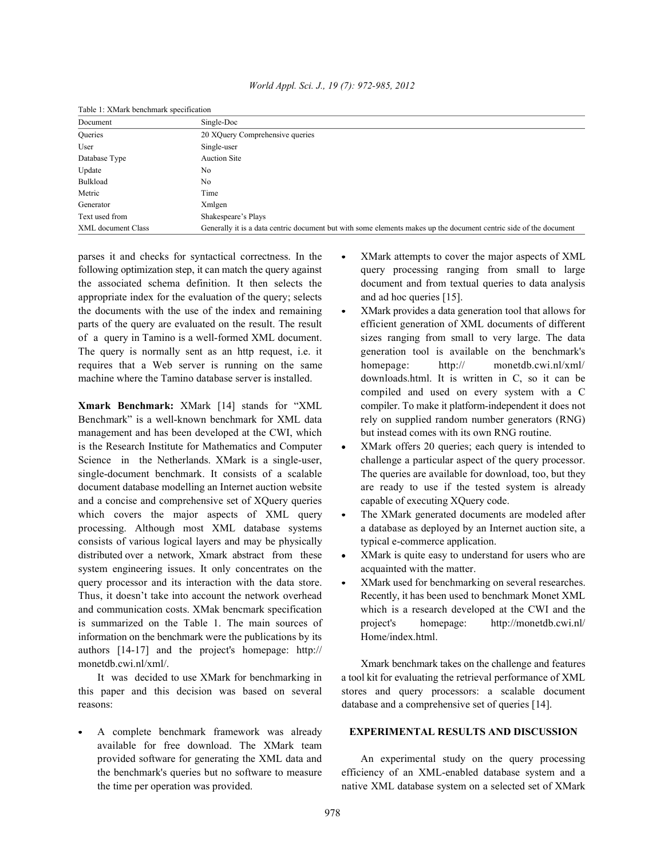| Document                  | Single-Doc                                                                                                        |  |
|---------------------------|-------------------------------------------------------------------------------------------------------------------|--|
| <b>Oueries</b>            | 20 XQuery Comprehensive queries                                                                                   |  |
| User                      | Single-user                                                                                                       |  |
| Database Type             | <b>Auction Site</b>                                                                                               |  |
| Update                    | No                                                                                                                |  |
| Bulkload                  | No                                                                                                                |  |
| Metric                    | Time                                                                                                              |  |
| Generator                 | Xmlgen                                                                                                            |  |
| Text used from            | Shakespeare's Plays                                                                                               |  |
| <b>XML</b> document Class | Generally it is a data centric document but with some elements makes up the document centric side of the document |  |

|  |  |  |  | Table 1: XMark benchmark specification |
|--|--|--|--|----------------------------------------|
|--|--|--|--|----------------------------------------|

parses it and checks for syntactical correctness. In the  $\bullet$  XMark attempts to cover the major aspects of XML following optimization step, it can match the query against query processing ranging from small to large the associated schema definition. It then selects the document and from textual queries to data analysis appropriate index for the evaluation of the query; selects and ad hoc queries [15]. the documents with the use of the index and remaining • XMark provides a data generation tool that allows for parts of the query are evaluated on the result. The result efficient generation of XML documents of different of a query in Tamino is a well-formed XML document. sizes ranging from small to very large. The data The query is normally sent as an http request, i.e. it generation tool is available on the benchmark's requires that a Web server is running on the same homepage: http:// monetdb.cwi.nl/xml/ machine where the Tamino database server is installed. downloads.html. It is written in C, so it can be

Benchmark" is a well-known benchmark for XML data rely on supplied random number generators (RNG) management and has been developed at the CWI, which but instead comes with its own RNG routine. is the Research Institute for Mathematics and Computer • XMark offers 20 queries; each query is intended to Science in the Netherlands. XMark is a single-user, challenge a particular aspect of the query processor. single-document benchmark. It consists of a scalable The queries are available for download, too, but they document database modelling an Internet auction website are ready to use if the tested system is already and a concise and comprehensive set of XQuery queries capable of executing XQuery code. which covers the major aspects of XML query • The XMark generated documents are modeled after processing. Although most XML database systems a database as deployed by an Internet auction site, a consists of various logical layers and may be physically typical e-commerce application. distributed over a network, Xmark abstract from these • XMark is quite easy to understand for users who are system engineering issues. It only concentrates on the acquainted with the matter. query processor and its interaction with the data store. • XMark used for benchmarking on several researches. Thus, it doesn't take into account the network overhead Recently, it has been used to benchmark Monet XML and communication costs. XMak bencmark specification which is a research developed at the CWI and the is summarized on the Table 1. The main sources of project's homepage: http://monetdb.cwi.nl/ information on the benchmark were the publications by its Home/index.html. authors [14-17] and the project's homepage: http:// monetdb.cwi.nl/xml/. The contraction of the challenge and features on the challenge and features on the challenge and features

reasons: database and a comprehensive set of queries [14].

A complete benchmark framework was already **EXPERIMENTAL RESULTS AND DISCUSSION** available for free download. The XMark team provided software for generating the XML data and An experimental study on the query processing

- 
- **Xmark Benchmark:** XMark [14] stands for "XML compiler. To make it platform-independent it does not compiled and used on every system with a C
	-
	-
	-
	-

It was decided to use XMark for benchmarking in a tool kit for evaluating the retrieval performance of XML this paper and this decision was based on several stores and query processors: a scalable document

the benchmark's queries but no software to measure efficiency of an XML-enabled database system and a the time per operation was provided. native XML database system on a selected set of XMark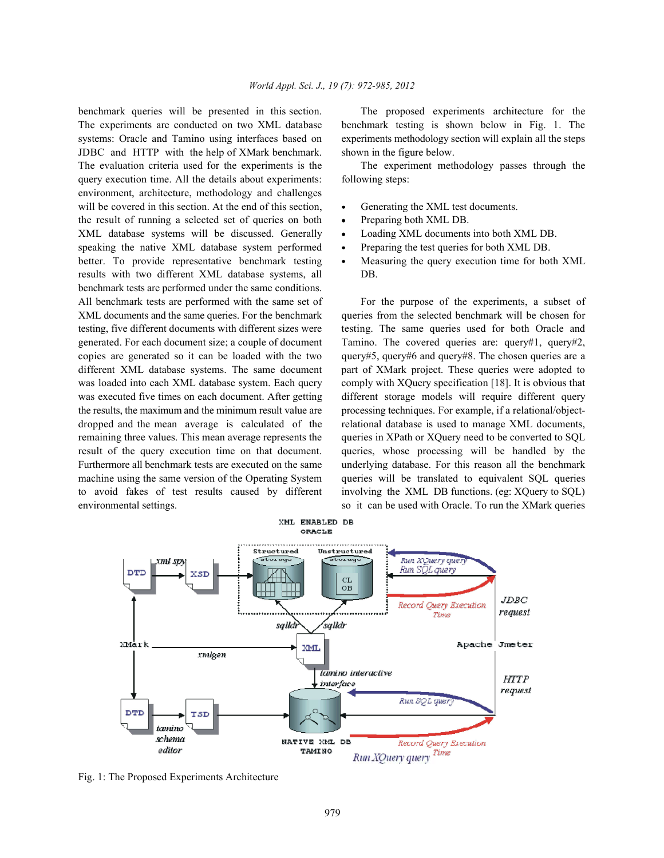The experiments are conducted on two XML database benchmark testing is shown below in Fig. 1. The systems: Oracle and Tamino using interfaces based on experiments methodology section will explain all the steps JDBC and HTTP with the help of XMark benchmark. shown in the figure below. The evaluation criteria used for the experiments is the The experiment methodology passes through the query execution time. All the details about experiments: following steps: environment, architecture, methodology and challenges will be covered in this section. At the end of this section,  $\bullet$  Generating the XML test documents. the result of running a selected set of queries on both • Preparing both XML DB. XML database systems will be discussed. Generally • Loading XML documents into both XML DB. speaking the native XML database system performed • Preparing the test queries for both XML DB. better. To provide representative benchmark testing • Measuring the query execution time for both XML results with two different XML database systems, all DB. benchmark tests are performed under the same conditions. All benchmark tests are performed with the same set of For the purpose of the experiments, a subset of XML documents and the same queries. For the benchmark queries from the selected benchmark will be chosen for testing, five different documents with different sizes were testing. The same queries used for both Oracle and generated. For each document size; a couple of document Tamino. The covered queries are:  $query#1$ ,  $query#2$ , copies are generated so it can be loaded with the two query#5, query#6 and query#8. The chosen queries are a different XML database systems. The same document part of XMark project. These queries were adopted to was loaded into each XML database system. Each query comply with XQuery specification [18]. It is obvious that was executed five times on each document. After getting different storage models will require different query the results, the maximum and the minimum result value are processing techniques. For example, if a relational/objectdropped and the mean average is calculated of the relational database is used to manage XML documents, remaining three values. This mean average represents the queries in XPath or XQuery need to be converted to SQL result of the query execution time on that document. queries, whose processing will be handled by the Furthermore all benchmark tests are executed on the same underlying database. For this reason all the benchmark machine using the same version of the Operating System queries will be translated to equivalent SQL queries to avoid fakes of test results caused by different involving the XML DB functions. (eg: XQuery to SQL) environmental settings. so it can be used with Oracle. To run the XMark queries

benchmark queries will be presented in this section. The proposed experiments architecture for the

- 
- 
- 
- 
- 



Fig. 1: The Proposed Experiments Architecture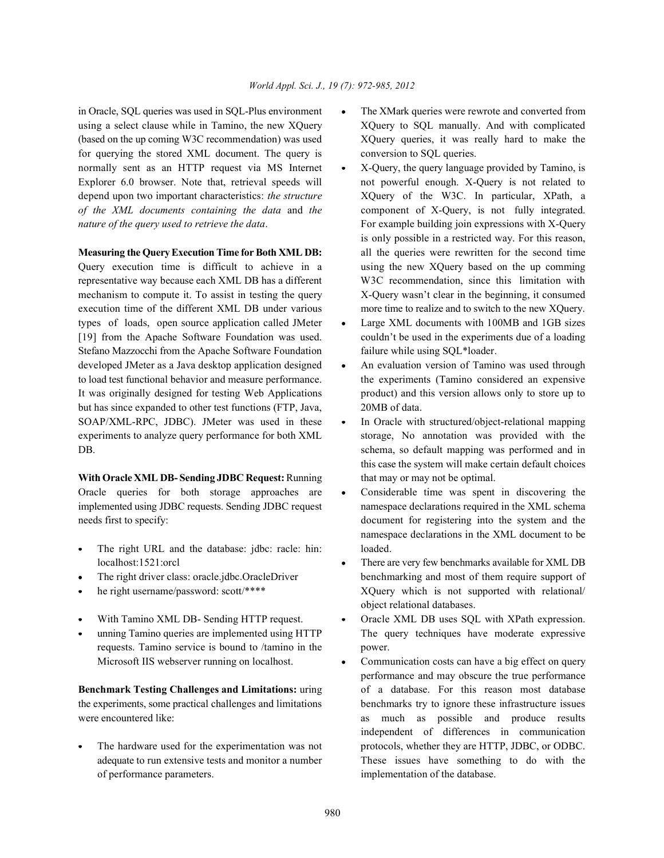using a select clause while in Tamino, the new XQuery XQuery to SQL manually. And with complicated (based on the up coming W3C recommendation) was used XQuery queries, it was really hard to make the for querying the stored XML document. The query is conversion to SOL queries. normally sent as an HTTP request via MS Internet • X-Query, the query language provided by Tamino, is Explorer 6.0 browser. Note that, retrieval speeds will not powerful enough. X-Query is not related to depend upon two important characteristics: *the structure* XQuery of the W3C. In particular, XPath, a *of the XML documents containing the data* and *the* component of X-Query, is not fully integrated. *nature of the query used to retrieve the data*. For example building join expressions with X-Query

Query execution time is difficult to achieve in a using the new XQuery based on the up comming representative way because each XML DB has a different W3C recommendation, since this limitation with mechanism to compute it. To assist in testing the query X-Query wasn't clear in the beginning, it consumed execution time of the different XML DB under various more time to realize and to switch to the new XQuery. types of loads, open source application called JMeter • Large XML documents with 100MB and 1GB sizes [19] from the Apache Software Foundation was used. couldn't be used in the experiments due of a loading Stefano Mazzocchi from the Apache Software Foundation failure while using SQL\*loader. developed JMeter as a Java desktop application designed • An evaluation version of Tamino was used through to load test functional behavior and measure performance. the experiments (Tamino considered an expensive It was originally designed for testing Web Applications product) and this version allows only to store up to but has since expanded to other test functions (FTP, Java, 20MB of data. SOAP/XML-RPC, JDBC). JMeter was used in these • In Oracle with structured/object-relational mapping experiments to analyze query performance for both XML storage, No annotation was provided with the DB. Schema, so default mapping was performed and in

**With Oracle XML DB- Sending JDBC Request:** Running that may or may not be optimal. Oracle queries for both storage approaches are Considerable time was spent in discovering the implemented using JDBC requests. Sending JDBC request namespace declarations required in the XML schema needs first to specify: document for registering into the system and the

- The right URL and the database: jdbc: racle: hin: loaded.
- 
- 
- 
- requests. Tamino service is bound to /tamino in the power. Microsoft IIS webserver running on localhost. <br>
• Communication costs can have a big effect on query

the experiments, some practical challenges and limitations benchmarks try to ignore these infrastructure issues were encountered like:  $\qquad \qquad \text{as} \qquad \text{much} \qquad \text{as} \qquad \text{possible} \qquad \text{and} \qquad \text{produce} \qquad \text{results}$ 

of performance parameters. implementation of the database.

- in Oracle, SOL queries was used in SOL-Plus environment The XMark queries were rewrote and converted from
- is only possible in a restricted way. For this reason, **Measuring the Query Execution Time for Both XML DB:** all the queries were rewritten for the second time
	-
	-
	- this case the system will make certain default choices
	- namespace declarations in the XML document to be
	- localhost:1521:orcl **There are very few benchmarks available for XML DB** The right driver class: oracle.jdbc.OracleDriver benchmarking and most of them require support of he right username/password: scott/\*\*\*\* XQuery which is not supported with relational/ object relational databases.
	- With Tamino XML DB- Sending HTTP request.  $\bullet$  Oracle XML DB uses SQL with XPath expression. unning Tamino queries are implemented using HTTP The query techniques have moderate expressive
- **Benchmark Testing Challenges and Limitations:** uring of a database. For this reason most database The hardware used for the experimentation was not protocols, whether they are HTTP, JDBC, or ODBC. adequate to run extensive tests and monitor a number These issues have something to do with the performance and may obscure the true performance independent of differences in communication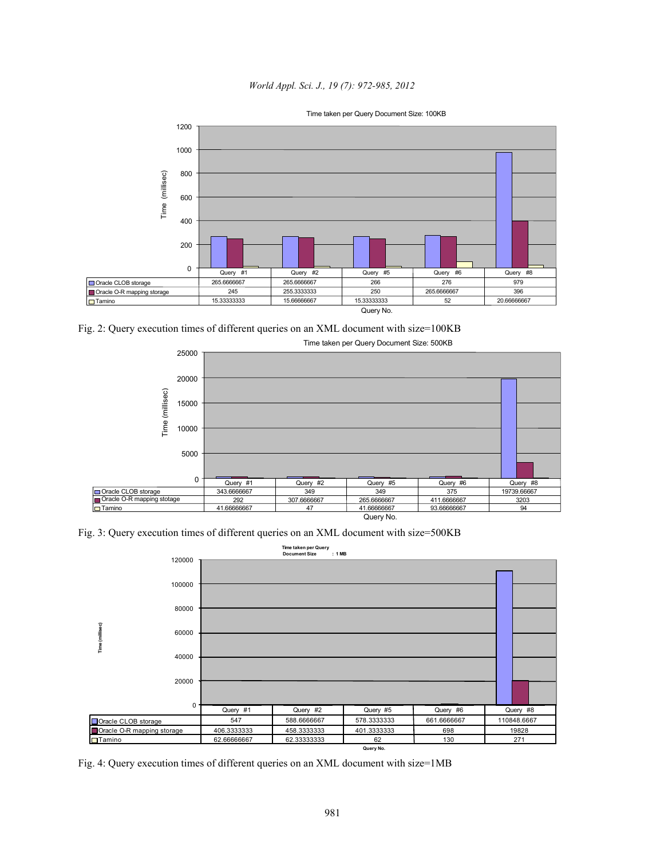## *World Appl. Sci. J., 19 (7): 972-985, 2012*



Fig. 2: Query execution times of different queries on an XML document with size=100KB



Fig. 3: Query execution times of different queries on an XML document with size=500KB



Fig. 4: Query execution times of different queries on an XML document with size=1MB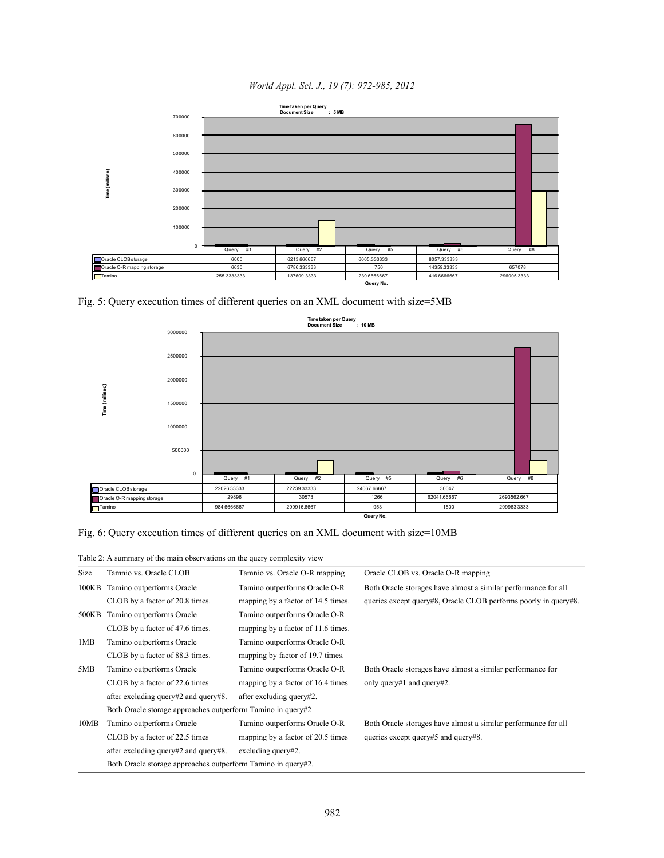*World Appl. Sci. J., 19 (7): 972-985, 2012*



Fig. 5: Query execution times of different queries on an XML document with size=5MB



Fig. 6: Query execution times of different queries on an XML document with size=10MB

Table 2: A summary of the main observations on the query complexity view

| Size  | Tamnio vs. Oracle CLOB                                       | Tamnio vs. Oracle O-R mapping      | Oracle CLOB vs. Oracle O-R mapping                              |  |  |
|-------|--------------------------------------------------------------|------------------------------------|-----------------------------------------------------------------|--|--|
|       | 100KB Tamino outperforms Oracle                              | Tamino outperforms Oracle O-R      | Both Oracle storages have almost a similar performance for all  |  |  |
|       | CLOB by a factor of 20.8 times.                              | mapping by a factor of 14.5 times. | queries except query#8, Oracle CLOB performs poorly in query#8. |  |  |
| 500KB | Tamino outperforms Oracle                                    | Tamino outperforms Oracle O-R      |                                                                 |  |  |
|       | CLOB by a factor of 47.6 times.                              | mapping by a factor of 11.6 times. |                                                                 |  |  |
| 1MB   | Tamino outperforms Oracle                                    | Tamino outperforms Oracle O-R      |                                                                 |  |  |
|       | CLOB by a factor of 88.3 times.                              | mapping by factor of 19.7 times.   |                                                                 |  |  |
| 5MB   | Tamino outperforms Oracle                                    | Tamino outperforms Oracle O-R      | Both Oracle storages have almost a similar performance for      |  |  |
|       | CLOB by a factor of 22.6 times                               | mapping by a factor of 16.4 times  | only query#1 and query#2.                                       |  |  |
|       | after excluding query#2 and query#8.                         | after excluding query#2.           |                                                                 |  |  |
|       | Both Oracle storage approaches outperform Tamino in query#2  |                                    |                                                                 |  |  |
| 10MB  | Tamino outperforms Oracle                                    | Tamino outperforms Oracle O-R      | Both Oracle storages have almost a similar performance for all  |  |  |
|       | CLOB by a factor of 22.5 times                               | mapping by a factor of 20.5 times  | queries except query#5 and query#8.                             |  |  |
|       | after excluding query#2 and query#8.                         | excluding query#2.                 |                                                                 |  |  |
|       | Both Oracle storage approaches outperform Tamino in query#2. |                                    |                                                                 |  |  |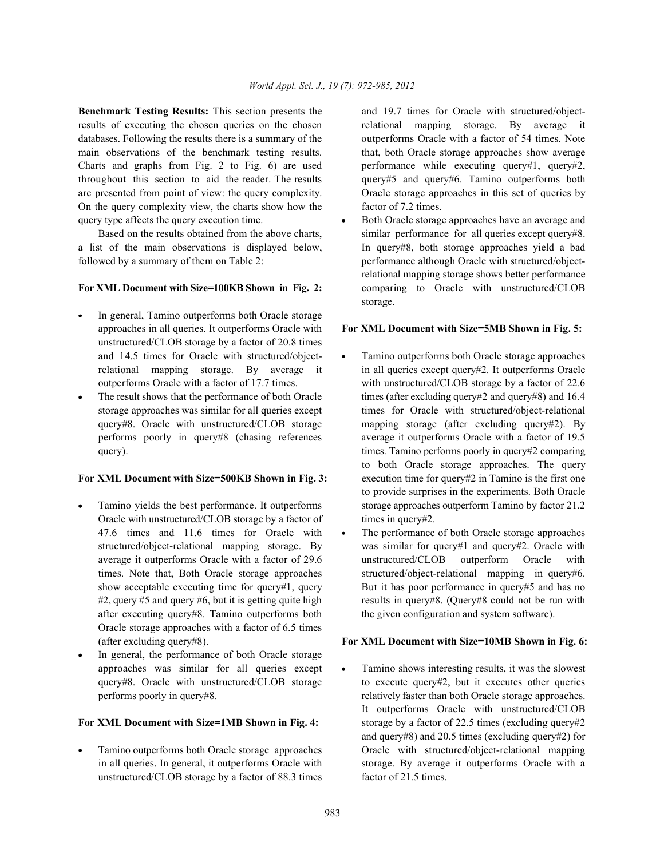**Benchmark Testing Results:** This section presents the and 19.7 times for Oracle with structured/object-<br>results of executing the chosen queries on the chosen relational mapping storage. By average it results of executing the chosen queries on the chosen databases. Following the results there is a summary of the outperforms Oracle with a factor of 54 times. Note main observations of the benchmark testing results. that, both Oracle storage approaches show average Charts and graphs from Fig. 2 to Fig. 6) are used performance while executing query#1, query#2, throughout this section to aid the reader. The results query#5 and query#6. Tamino outperforms both are presented from point of view: the query complexity. Oracle storage approaches in this set of queries by On the query complexity view, the charts show how the factor of 7.2 times. query type affects the query execution time.  $\bullet$  Both Oracle storage approaches have an average and

a list of the main observations is displayed below, In query#8, both storage approaches yield a bad followed by a summary of them on Table 2: performance although Oracle with structured/object-

## For XML Document with Size=100KB Shown in Fig. 2: comparing to Oracle with unstructured/CLOB

- In general, Tamino outperforms both Oracle storage unstructured/CLOB storage by a factor of 20.8 times
- 

- Oracle with unstructured/CLOB storage by a factor of times in query#2. after executing query#8. Tamino outperforms both the given configuration and system software). Oracle storage approaches with a factor of 6.5 times
- In general, the performance of both Oracle storage

unstructured/CLOB storage by a factor of 88.3 times factor of 21.5 times.

Based on the results obtained from the above charts, similar performance for all queries except query#8. relational mapping storage shows better performance storage.

## approaches in all queries. It outperforms Oracle with **For XML Document with Size=5MB Shown in Fig. 5:**

- and 14.5 times for Oracle with structured/object- Tamino outperforms both Oracle storage approaches relational mapping storage. By average it in all queries except query#2. It outperforms Oracle outperforms Oracle with a factor of 17.7 times. with unstructured/CLOB storage by a factor of 22.6 The result shows that the performance of both Oracle times (after excluding query#2 and query#8) and 16.4 storage approaches was similar for all queries except times for Oracle with structured/object-relational query#8. Oracle with unstructured/CLOB storage mapping storage (after excluding query#2). By performs poorly in query#8 (chasing references average it outperforms Oracle with a factor of 19.5 query). times. Tamino performs poorly in query#2 comparing **For XML Document with Size=500KB Shown in Fig. 3:** execution time for query#2 in Tamino is the first one Tamino yields the best performance. It outperforms storage approaches outperform Tamino by factor 21.2 to both Oracle storage approaches. The query to provide surprises in the experiments. Both Oracle
	- 47.6 times and 11.6 times for Oracle with The performance of both Oracle storage approaches structured/object-relational mapping storage. By was similar for query#1 and query#2. Oracle with average it outperforms Oracle with a factor of 29.6 unstructured/CLOB outperform Oracle with times. Note that, Both Oracle storage approaches structured/object-relational mapping in query#6. show acceptable executing time for query#1, query But it has poor performance in query#5 and has no #2, query #5 and query #6, but it is getting quite high results in query#8. (Query#8 could not be run with

## (after excluding query#8). **For XML Document with Size=10MB Shown in Fig. 6:**

approaches was similar for all queries except  $\bullet$  Tamino shows interesting results, it was the slowest query#8. Oracle with unstructured/CLOB storage to execute query#2, but it executes other queries performs poorly in query#8. relatively faster than both Oracle storage approaches. **For XML Document with Size=1MB Shown in Fig. 4:** storage by a factor of 22.5 times (excluding query#2) Tamino outperforms both Oracle storage approaches Oracle with structured/object-relational mapping in all queries. In general, it outperforms Oracle with storage. By average it outperforms Oracle with a It outperforms Oracle with unstructured/CLOB and query#8) and 20.5 times (excluding query#2) for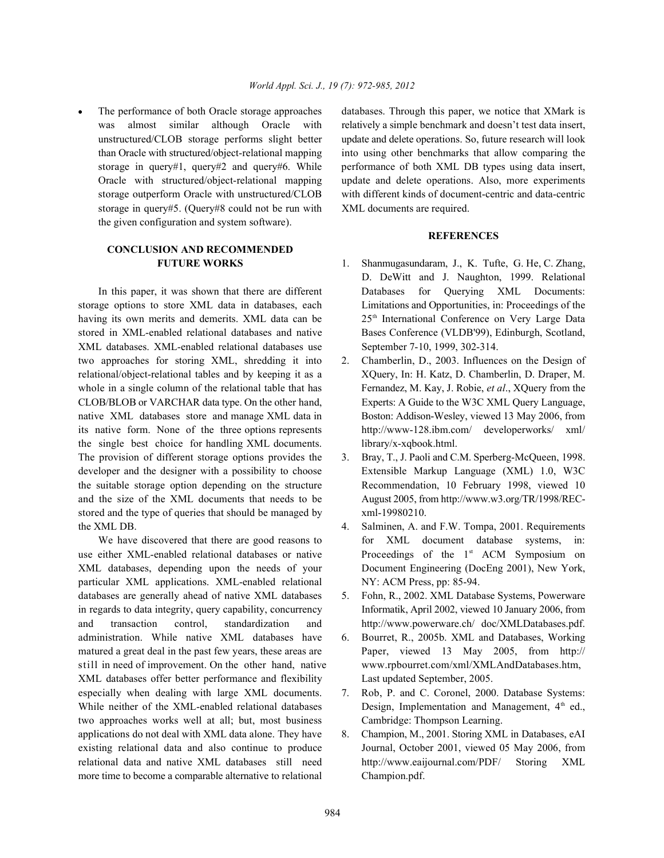storage in query#5. (Query#8 could not be run with XML documents are required. the given configuration and system software).

# **CONCLUSION AND RECOMMENDED**

storage options to store XML data in databases, each Limitations and Opportunities, in: Proceedings of the having its own merits and demerits. XML data can be stored in XML-enabled relational databases and native Bases Conference (VLDB'99), Edinburgh, Scotland, XML databases. XML-enabled relational databases use September 7-10, 1999, 302-314. two approaches for storing XML, shredding it into 2. Chamberlin, D., 2003. Influences on the Design of relational/object-relational tables and by keeping it as a XQuery, In: H. Katz, D. Chamberlin, D. Draper, M. whole in a single column of the relational table that has Fernandez, M. Kay, J. Robie, *et al.*, XQuery from the CLOB/BLOB or VARCHAR data type. On the other hand, Experts: A Guide to the W3C XML Query Language, native XML databases store and manage XML data in Boston: Addison-Wesley, viewed 13 May 2006, from its native form. None of the three options represents http://www-128.ibm.com/ developerworks/ xml/ the single best choice for handling XML documents. library/x-xqbook.html. The provision of different storage options provides the 3. Bray, T., J. Paoli and C.M. Sperberg-McQueen, 1998. developer and the designer with a possibility to choose Extensible Markup Language (XML) 1.0, W3C the suitable storage option depending on the structure Recommendation, 10 February 1998, viewed 10 and the size of the XML documents that needs to be August 2005, from http://www.w3.org/TR/1998/RECstored and the type of queries that should be managed by xml-19980210. the XML DB. (a) the XML DB. (a)  $\sim$  4. Salminen, A. and F.W. Tompa, 2001. Requirements

use either XML-enabled relational databases or native Proceedings of the 1<sup>st</sup> ACM Symposium on XML databases, depending upon the needs of your Document Engineering (DocEng 2001), New York, particular XML applications. XML-enabled relational NY: ACM Press, pp: 85-94. databases are generally ahead of native XML databases 5. Fohn, R., 2002. XML Database Systems, Powerware in regards to data integrity, query capability, concurrency Informatik, April 2002, viewed 10 January 2006, from and transaction control, standardization and http://www.powerware.ch/ doc/XMLDatabases.pdf. administration. While native XML databases have 6. Bourret, R., 2005b. XML and Databases, Working matured a great deal in the past few years, these areas are Paper, viewed 13 May 2005, from http:// still in need of improvement. On the other hand, native www.rpbourret.com/xml/XMLAndDatabases.htm, XML databases offer better performance and flexibility Last updated September, 2005. especially when dealing with large XML documents. 7. Rob, P. and C. Coronel, 2000. Database Systems: While neither of the XML-enabled relational databases Design, Implementation and Management,  $4<sup>th</sup>$  ed., two approaches works well at all; but, most business Cambridge: Thompson Learning. applications do not deal with XML data alone. They have 8. Champion, M., 2001. Storing XML in Databases, eAI existing relational data and also continue to produce Journal, October 2001, viewed 05 May 2006, from relational data and native XML databases still need http://www.eaijournal.com/PDF/ Storing XML more time to become a comparable alternative to relational Champion.pdf.

The performance of both Oracle storage approaches databases. Through this paper, we notice that XMark is was almost similar although Oracle with relatively a simple benchmark and doesn't test data insert, unstructured/CLOB storage performs slight better update and delete operations. So, future research will look than Oracle with structured/object-relational mapping into using other benchmarks that allow comparing the storage in query#1, query#2 and query#6. While performance of both XML DB types using data insert, Oracle with structured/object-relational mapping update and delete operations. Also, more experiments storage outperform Oracle with unstructured/CLOB with different kinds of document-centric and data-centric

## **REFERENCES**

- **FUTURE WORKS** 1. Shanmugasundaram, J., K. Tufte, G. He, C. Zhang, In this paper, it was shown that there are different Databases for Querying XML Documents: D. DeWitt and J. Naughton, 1999. Relational 25<sup>th</sup> International Conference on Very Large Data
	-
	-
- We have discovered that there are good reasons to for XML document database systems, in:
	-
	-
	-
	-